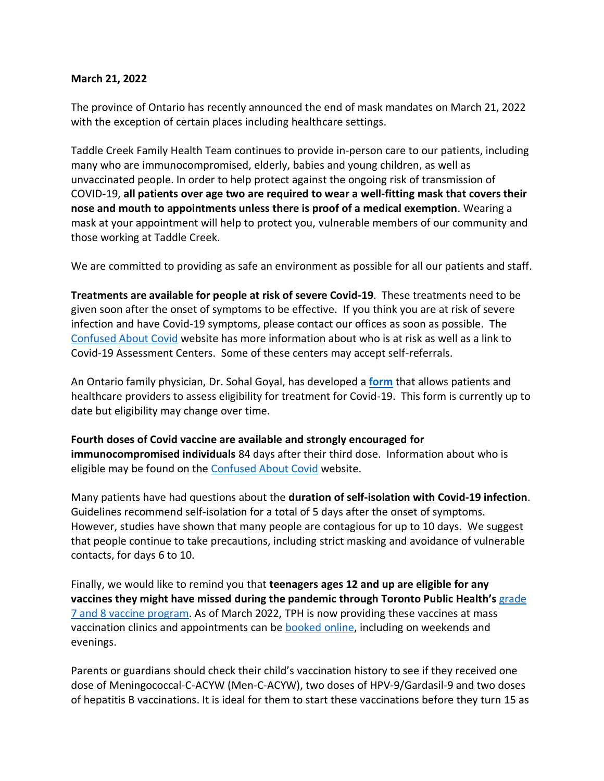## **March 21, 2022**

The province of Ontario has recently announced the end of mask mandates on March 21, 2022 with the exception of certain places including healthcare settings.

Taddle Creek Family Health Team continues to provide in-person care to our patients, including many who are immunocompromised, elderly, babies and young children, as well as unvaccinated people. In order to help protect against the ongoing risk of transmission of COVID-19, **all patients over age two are required to wear a well-fitting mask that covers their nose and mouth to appointments unless there is proof of a medical exemption**. Wearing a mask at your appointment will help to protect you, vulnerable members of our community and those working at Taddle Creek.

We are committed to providing as safe an environment as possible for all our patients and staff.

**Treatments are available for people at risk of severe Covid-19**. These treatments need to be given soon after the onset of symptoms to be effective. If you think you are at risk of severe infection and have Covid-19 symptoms, please contact our offices as soon as possible. The [Confused About Covid](https://dfcm.utoronto.ca/confused-about-covid) website has more information about who is at risk as well as a link to Covid-19 Assessment Centers. Some of these centers may accept self-referrals.

An Ontario family physician, Dr. Sohal Goyal, has developed a **[form](https://docs.google.com/forms/d/e/1FAIpQLScTuqtO5eW5JtZ2KzmFGONIoyhm5tg6vylHG-EJGvkzUVCoEg/viewform)** that allows patients and healthcare providers to assess eligibility for treatment for Covid-19. This form is currently up to date but eligibility may change over time.

**Fourth doses of Covid vaccine are available and strongly encouraged for immunocompromised individuals** 84 days after their third dose. Information about who is eligible may be found on the [Confused About Covid](https://dfcm.utoronto.ca/confused-about-covid) website.

Many patients have had questions about the **duration of self-isolation with Covid-19 infection**. Guidelines recommend self-isolation for a total of 5 days after the onset of symptoms. However, studies have shown that many people are contagious for up to 10 days. We suggest that people continue to take precautions, including strict masking and avoidance of vulnerable contacts, for days 6 to 10.

Finally, we would like to remind you that **teenagers ages 12 and up are eligible for any vaccines they might have missed during the pandemic through Toronto Public Health's** [grade](https://www.toronto.ca/community-people/health-wellness-care/health-programs-advice/immunization/get-immunized-children-youth/grade-7-vaccination-program/)  [7 and 8 vaccine program.](https://www.toronto.ca/community-people/health-wellness-care/health-programs-advice/immunization/get-immunized-children-youth/grade-7-vaccination-program/) As of March 2022, TPH is now providing these vaccines at mass vaccination clinics and appointments can be [booked online,](https://www.tphbookings.ca/Default.aspx?PageID=11043&qs=D9MT4eaIZ5HFXbWncjiF0dPSMSjpjPdZ6lOQTvkASa9T508zBpl3tA%3D%3D) including on weekends and evenings.

Parents or guardians should check their child's vaccination history to see if they received one dose of Meningococcal-C-ACYW (Men-C-ACYW), two doses of HPV-9/Gardasil-9 and two doses of hepatitis B vaccinations. It is ideal for them to start these vaccinations before they turn 15 as